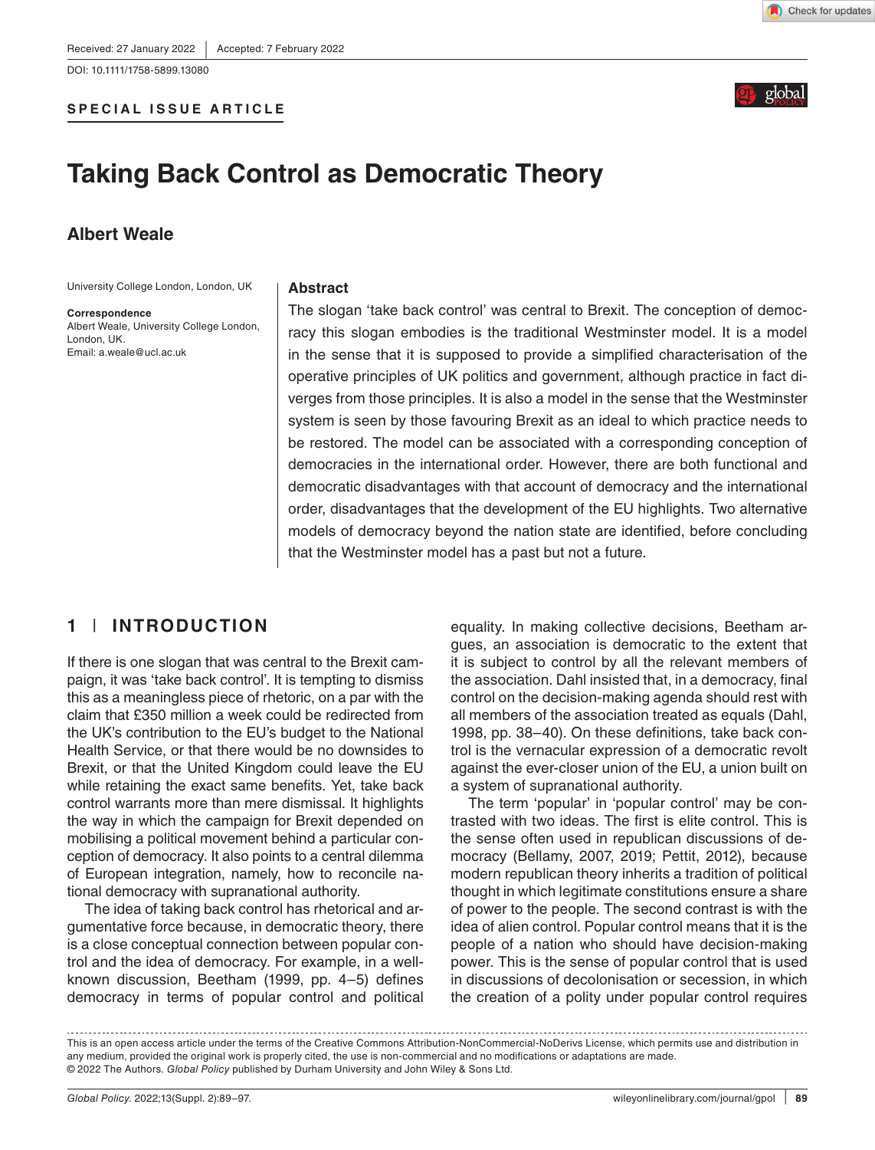DOI: 10.1111/1758-5899.13080





# **Taking Back Control as Democratic Theory**

# **Albert Weale**

University College London, London, UK

**Correspondence** Albert Weale, University College London, London, UK. Email: [a.weale@ucl.ac.uk](mailto:a.weale@ucl.ac.uk)

#### **Abstract**

The slogan 'take back control' was central to Brexit. The conception of democracy this slogan embodies is the traditional Westminster model. It is a model in the sense that it is supposed to provide a simplified characterisation of the operative principles of UK politics and government, although practice in fact diverges from those principles. It is also a model in the sense that the Westminster system is seen by those favouring Brexit as an ideal to which practice needs to be restored. The model can be associated with a corresponding conception of democracies in the international order. However, there are both functional and democratic disadvantages with that account of democracy and the international order, disadvantages that the development of the EU highlights. Two alternative models of democracy beyond the nation state are identified, before concluding that the Westminster model has a past but not a future.

# **1** | **INTRODUCTION**

If there is one slogan that was central to the Brexit campaign, it was 'take back control'. It is tempting to dismiss this as a meaningless piece of rhetoric, on a par with the claim that £350 million a week could be redirected from the UK's contribution to the EU's budget to the National Health Service, or that there would be no downsides to Brexit, or that the United Kingdom could leave the EU while retaining the exact same benefits. Yet, take back control warrants more than mere dismissal. It highlights the way in which the campaign for Brexit depended on mobilising a political movement behind a particular conception of democracy. It also points to a central dilemma of European integration, namely, how to reconcile national democracy with supranational authority.

The idea of taking back control has rhetorical and argumentative force because, in democratic theory, there is a close conceptual connection between popular control and the idea of democracy. For example, in a wellknown discussion, Beetham (1999, pp. 4–5) defines democracy in terms of popular control and political equality. In making collective decisions, Beetham argues, an association is democratic to the extent that it is subject to control by all the relevant members of the association. Dahl insisted that, in a democracy, final control on the decision-making agenda should rest with all members of the association treated as equals (Dahl, 1998, pp. 38–40). On these definitions, take back control is the vernacular expression of a democratic revolt against the ever-closer union of the EU, a union built on a system of supranational authority.

The term 'popular' in 'popular control' may be contrasted with two ideas. The first is elite control. This is the sense often used in republican discussions of democracy (Bellamy, 2007, 2019; Pettit, 2012), because modern republican theory inherits a tradition of political thought in which legitimate constitutions ensure a share of power to the people. The second contrast is with the idea of alien control. Popular control means that it is the people of a nation who should have decision-making power. This is the sense of popular control that is used in discussions of decolonisation or secession, in which the creation of a polity under popular control requires

This is an open access article under the terms of the [Creative Commons Attribution-NonCommercial-NoDerivs](http://creativecommons.org/licenses/by-nc-nd/4.0/) License, which permits use and distribution in any medium, provided the original work is properly cited, the use is non-commercial and no modifications or adaptations are made. © 2022 The Authors. *Global Policy* published by Durham University and John Wiley & Sons Ltd.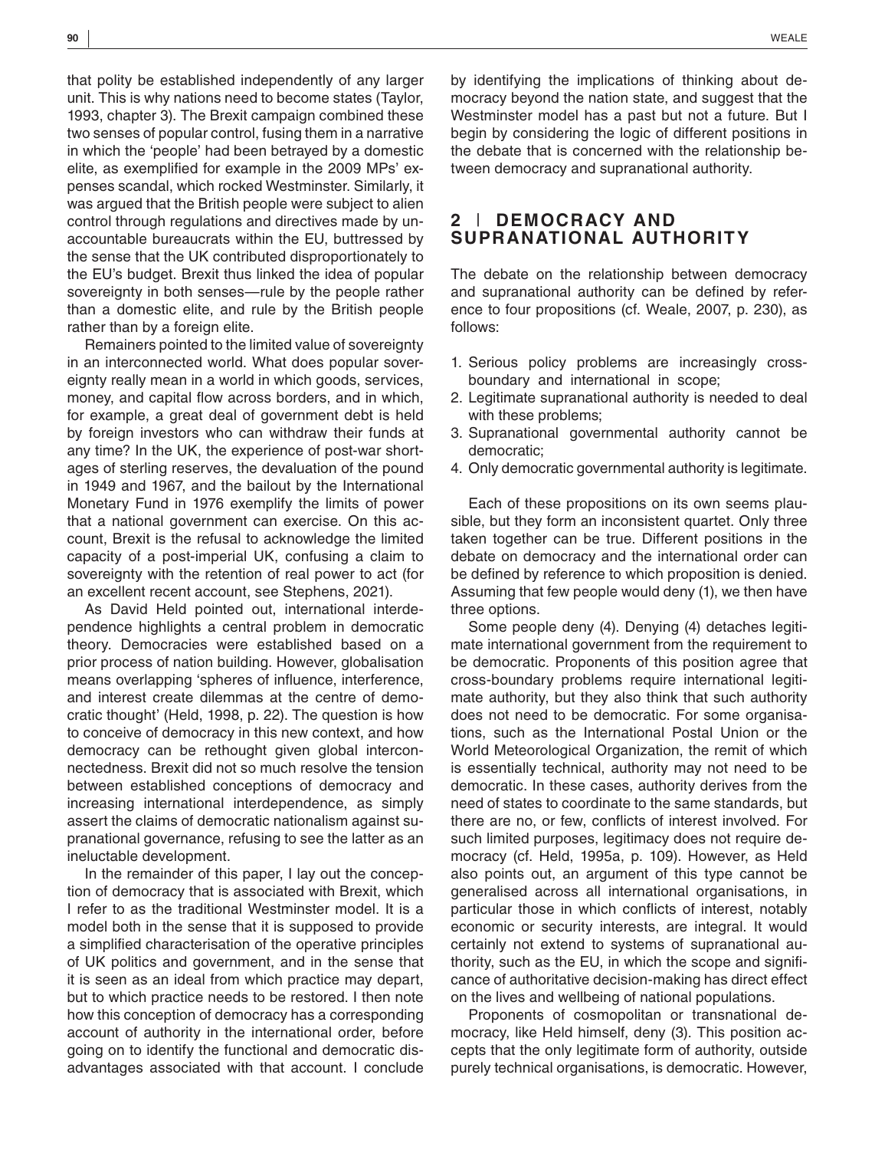that polity be established independently of any larger unit. This is why nations need to become states (Taylor, 1993, chapter 3). The Brexit campaign combined these two senses of popular control, fusing them in a narrative in which the 'people' had been betrayed by a domestic elite, as exemplified for example in the 2009 MPs' expenses scandal, which rocked Westminster. Similarly, it was argued that the British people were subject to alien control through regulations and directives made by unaccountable bureaucrats within the EU, buttressed by the sense that the UK contributed disproportionately to the EU's budget. Brexit thus linked the idea of popular sovereignty in both senses—rule by the people rather than a domestic elite, and rule by the British people rather than by a foreign elite.

Remainers pointed to the limited value of sovereignty in an interconnected world. What does popular sovereignty really mean in a world in which goods, services, money, and capital flow across borders, and in which, for example, a great deal of government debt is held by foreign investors who can withdraw their funds at any time? In the UK, the experience of post-war shortages of sterling reserves, the devaluation of the pound in 1949 and 1967, and the bailout by the International Monetary Fund in 1976 exemplify the limits of power that a national government can exercise. On this account, Brexit is the refusal to acknowledge the limited capacity of a post-imperial UK, confusing a claim to sovereignty with the retention of real power to act (for an excellent recent account, see Stephens, 2021).

As David Held pointed out, international interdependence highlights a central problem in democratic theory. Democracies were established based on a prior process of nation building. However, globalisation means overlapping 'spheres of influence, interference, and interest create dilemmas at the centre of democratic thought' (Held, 1998, p. 22). The question is how to conceive of democracy in this new context, and how democracy can be rethought given global interconnectedness. Brexit did not so much resolve the tension between established conceptions of democracy and increasing international interdependence, as simply assert the claims of democratic nationalism against supranational governance, refusing to see the latter as an ineluctable development.

In the remainder of this paper, I lay out the conception of democracy that is associated with Brexit, which I refer to as the traditional Westminster model. It is a model both in the sense that it is supposed to provide a simplified characterisation of the operative principles of UK politics and government, and in the sense that it is seen as an ideal from which practice may depart, but to which practice needs to be restored. I then note how this conception of democracy has a corresponding account of authority in the international order, before going on to identify the functional and democratic disadvantages associated with that account. I conclude

by identifying the implications of thinking about democracy beyond the nation state, and suggest that the Westminster model has a past but not a future. But I begin by considering the logic of different positions in the debate that is concerned with the relationship between democracy and supranational authority.

# **2** | **DEMOCRACY AND SUPRANATIONAL AUTHORITY**

The debate on the relationship between democracy and supranational authority can be defined by reference to four propositions (cf. Weale, 2007, p. 230), as follows:

- 1. Serious policy problems are increasingly crossboundary and international in scope;
- 2. Legitimate supranational authority is needed to deal with these problems;
- 3. Supranational governmental authority cannot be democratic;
- 4. Only democratic governmental authority is legitimate.

Each of these propositions on its own seems plausible, but they form an inconsistent quartet. Only three taken together can be true. Different positions in the debate on democracy and the international order can be defined by reference to which proposition is denied. Assuming that few people would deny (1), we then have three options.

Some people deny (4). Denying (4) detaches legitimate international government from the requirement to be democratic. Proponents of this position agree that cross-boundary problems require international legitimate authority, but they also think that such authority does not need to be democratic. For some organisations, such as the International Postal Union or the World Meteorological Organization, the remit of which is essentially technical, authority may not need to be democratic. In these cases, authority derives from the need of states to coordinate to the same standards, but there are no, or few, conflicts of interest involved. For such limited purposes, legitimacy does not require democracy (cf. Held, 1995a, p. 109). However, as Held also points out, an argument of this type cannot be generalised across all international organisations, in particular those in which conflicts of interest, notably economic or security interests, are integral. It would certainly not extend to systems of supranational authority, such as the EU, in which the scope and significance of authoritative decision-making has direct effect on the lives and wellbeing of national populations.

Proponents of cosmopolitan or transnational democracy, like Held himself, deny (3). This position accepts that the only legitimate form of authority, outside purely technical organisations, is democratic. However,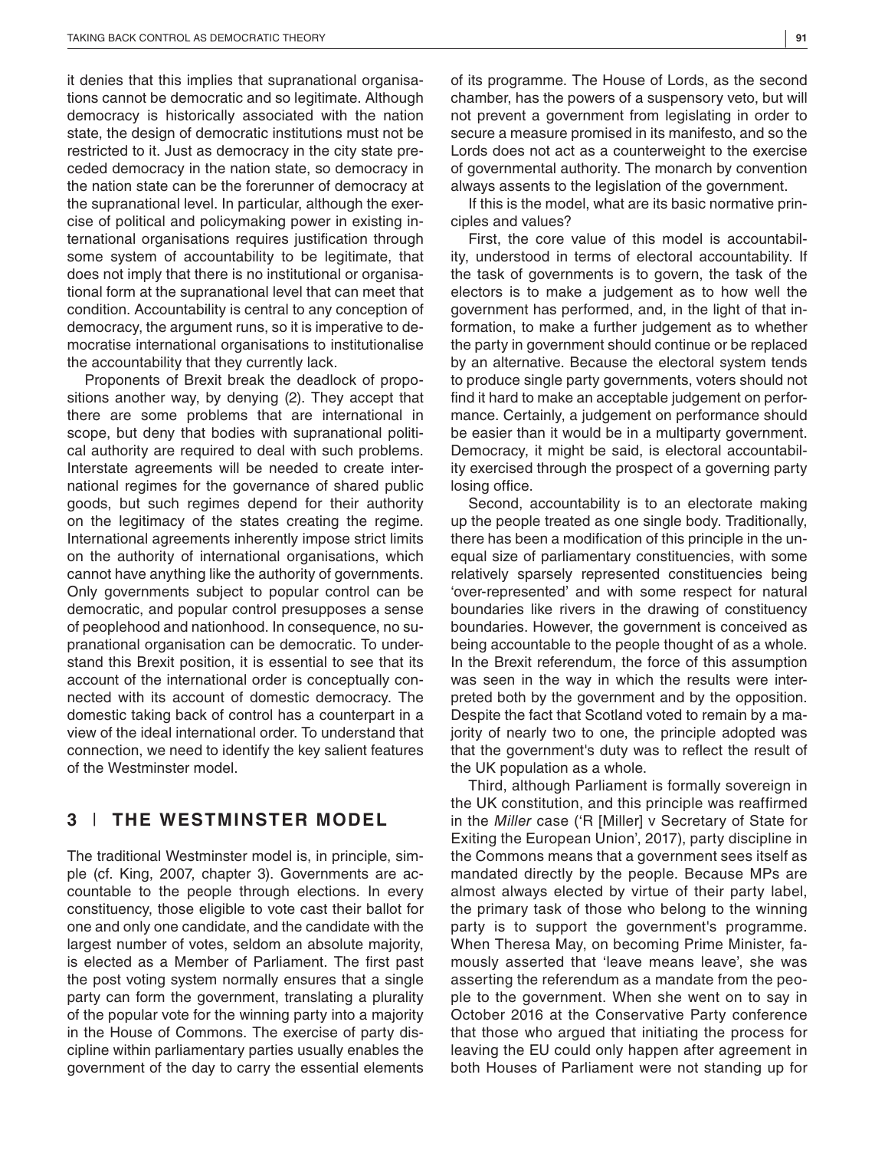it denies that this implies that supranational organisations cannot be democratic and so legitimate. Although democracy is historically associated with the nation state, the design of democratic institutions must not be restricted to it. Just as democracy in the city state preceded democracy in the nation state, so democracy in the nation state can be the forerunner of democracy at the supranational level. In particular, although the exercise of political and policymaking power in existing international organisations requires justification through some system of accountability to be legitimate, that does not imply that there is no institutional or organisational form at the supranational level that can meet that condition. Accountability is central to any conception of democracy, the argument runs, so it is imperative to democratise international organisations to institutionalise the accountability that they currently lack.

Proponents of Brexit break the deadlock of propositions another way, by denying (2). They accept that there are some problems that are international in scope, but deny that bodies with supranational political authority are required to deal with such problems. Interstate agreements will be needed to create international regimes for the governance of shared public goods, but such regimes depend for their authority on the legitimacy of the states creating the regime. International agreements inherently impose strict limits on the authority of international organisations, which cannot have anything like the authority of governments. Only governments subject to popular control can be democratic, and popular control presupposes a sense of peoplehood and nationhood. In consequence, no supranational organisation can be democratic. To understand this Brexit position, it is essential to see that its account of the international order is conceptually connected with its account of domestic democracy. The domestic taking back of control has a counterpart in a view of the ideal international order. To understand that connection, we need to identify the key salient features of the Westminster model.

## **3** | **THE WESTMINSTER MODEL**

The traditional Westminster model is, in principle, simple (cf. King, 2007, chapter 3). Governments are accountable to the people through elections. In every constituency, those eligible to vote cast their ballot for one and only one candidate, and the candidate with the largest number of votes, seldom an absolute majority, is elected as a Member of Parliament. The first past the post voting system normally ensures that a single party can form the government, translating a plurality of the popular vote for the winning party into a majority in the House of Commons. The exercise of party discipline within parliamentary parties usually enables the government of the day to carry the essential elements

of its programme. The House of Lords, as the second chamber, has the powers of a suspensory veto, but will not prevent a government from legislating in order to secure a measure promised in its manifesto, and so the Lords does not act as a counterweight to the exercise of governmental authority. The monarch by convention always assents to the legislation of the government.

If this is the model, what are its basic normative principles and values?

First, the core value of this model is accountability, understood in terms of electoral accountability. If the task of governments is to govern, the task of the electors is to make a judgement as to how well the government has performed, and, in the light of that information, to make a further judgement as to whether the party in government should continue or be replaced by an alternative. Because the electoral system tends to produce single party governments, voters should not find it hard to make an acceptable judgement on performance. Certainly, a judgement on performance should be easier than it would be in a multiparty government. Democracy, it might be said, is electoral accountability exercised through the prospect of a governing party losing office.

Second, accountability is to an electorate making up the people treated as one single body. Traditionally, there has been a modification of this principle in the unequal size of parliamentary constituencies, with some relatively sparsely represented constituencies being 'over-represented' and with some respect for natural boundaries like rivers in the drawing of constituency boundaries. However, the government is conceived as being accountable to the people thought of as a whole. In the Brexit referendum, the force of this assumption was seen in the way in which the results were interpreted both by the government and by the opposition. Despite the fact that Scotland voted to remain by a majority of nearly two to one, the principle adopted was that the government's duty was to reflect the result of the UK population as a whole.

Third, although Parliament is formally sovereign in the UK constitution, and this principle was reaffirmed in the *Miller* case ('R [Miller] v Secretary of State for Exiting the European Union', 2017), party discipline in the Commons means that a government sees itself as mandated directly by the people. Because MPs are almost always elected by virtue of their party label, the primary task of those who belong to the winning party is to support the government's programme. When Theresa May, on becoming Prime Minister, famously asserted that 'leave means leave', she was asserting the referendum as a mandate from the people to the government. When she went on to say in October 2016 at the Conservative Party conference that those who argued that initiating the process for leaving the EU could only happen after agreement in both Houses of Parliament were not standing up for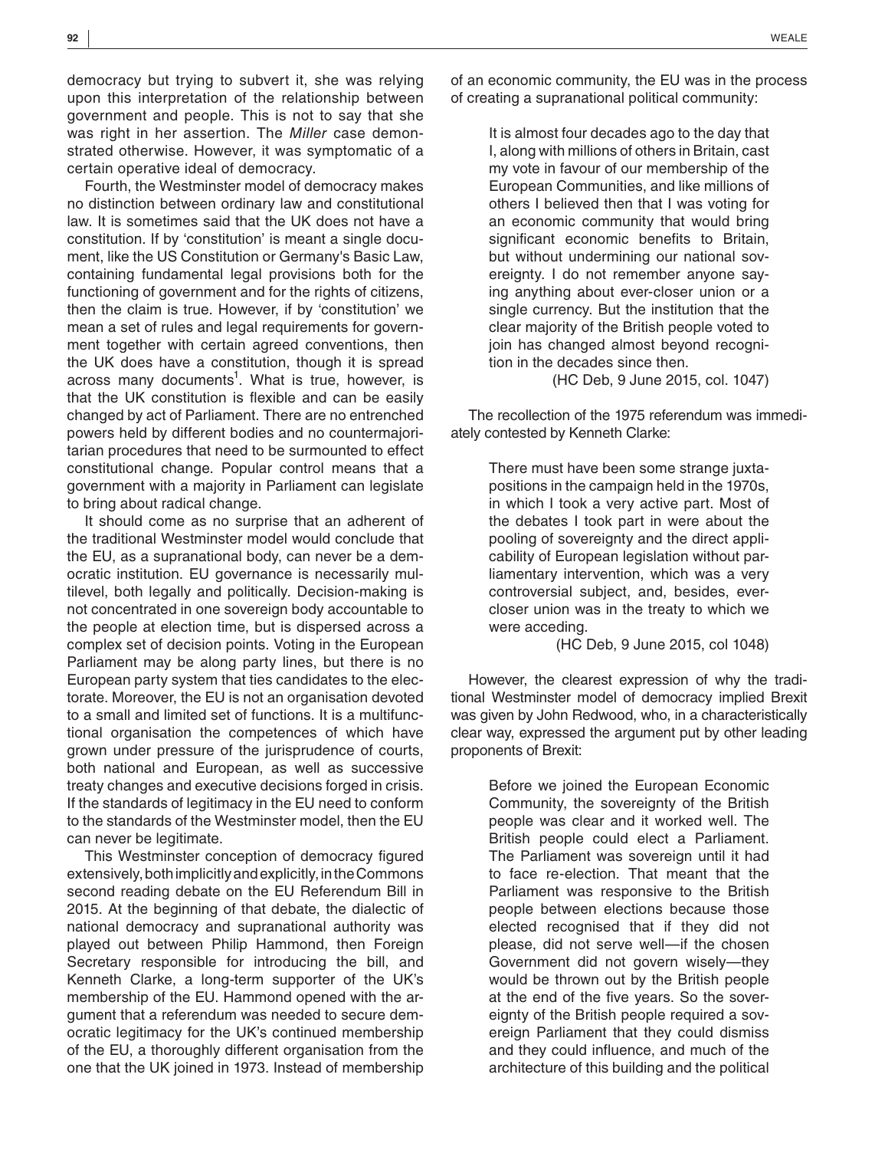democracy but trying to subvert it, she was relying upon this interpretation of the relationship between government and people. This is not to say that she was right in her assertion. The *Miller* case demonstrated otherwise. However, it was symptomatic of a certain operative ideal of democracy.

Fourth, the Westminster model of democracy makes no distinction between ordinary law and constitutional law. It is sometimes said that the UK does not have a constitution. If by 'constitution' is meant a single document, like the US Constitution or Germany's Basic Law, containing fundamental legal provisions both for the functioning of government and for the rights of citizens, then the claim is true. However, if by 'constitution' we mean a set of rules and legal requirements for government together with certain agreed conventions, then the UK does have a constitution, though it is spread across many documents<sup>1</sup>. What is true, however, is that the UK constitution is flexible and can be easily changed by act of Parliament. There are no entrenched powers held by different bodies and no countermajoritarian procedures that need to be surmounted to effect constitutional change. Popular control means that a government with a majority in Parliament can legislate to bring about radical change.

It should come as no surprise that an adherent of the traditional Westminster model would conclude that the EU, as a supranational body, can never be a democratic institution. EU governance is necessarily multilevel, both legally and politically. Decision-making is not concentrated in one sovereign body accountable to the people at election time, but is dispersed across a complex set of decision points. Voting in the European Parliament may be along party lines, but there is no European party system that ties candidates to the electorate. Moreover, the EU is not an organisation devoted to a small and limited set of functions. It is a multifunctional organisation the competences of which have grown under pressure of the jurisprudence of courts, both national and European, as well as successive treaty changes and executive decisions forged in crisis. If the standards of legitimacy in the EU need to conform to the standards of the Westminster model, then the EU can never be legitimate.

This Westminster conception of democracy figured extensively, both implicitly and explicitly, in the Commons second reading debate on the EU Referendum Bill in 2015. At the beginning of that debate, the dialectic of national democracy and supranational authority was played out between Philip Hammond, then Foreign Secretary responsible for introducing the bill, and Kenneth Clarke, a long-term supporter of the UK's membership of the EU. Hammond opened with the argument that a referendum was needed to secure democratic legitimacy for the UK's continued membership of the EU, a thoroughly different organisation from the one that the UK joined in 1973. Instead of membership

of an economic community, the EU was in the process of creating a supranational political community:

> It is almost four decades ago to the day that I, along with millions of others in Britain, cast my vote in favour of our membership of the European Communities, and like millions of others I believed then that I was voting for an economic community that would bring significant economic benefits to Britain, but without undermining our national sovereignty. I do not remember anyone saying anything about ever-closer union or a single currency. But the institution that the clear majority of the British people voted to join has changed almost beyond recognition in the decades since then.

> > (HC Deb, 9 June 2015, col. 1047)

The recollection of the 1975 referendum was immediately contested by Kenneth Clarke:

> There must have been some strange juxtapositions in the campaign held in the 1970s, in which I took a very active part. Most of the debates I took part in were about the pooling of sovereignty and the direct applicability of European legislation without parliamentary intervention, which was a very controversial subject, and, besides, evercloser union was in the treaty to which we were acceding.

> > (HC Deb, 9 June 2015, col 1048)

However, the clearest expression of why the traditional Westminster model of democracy implied Brexit was given by John Redwood, who, in a characteristically clear way, expressed the argument put by other leading proponents of Brexit:

> Before we joined the European Economic Community, the sovereignty of the British people was clear and it worked well. The British people could elect a Parliament. The Parliament was sovereign until it had to face re-election. That meant that the Parliament was responsive to the British people between elections because those elected recognised that if they did not please, did not serve well—if the chosen Government did not govern wisely—they would be thrown out by the British people at the end of the five years. So the sovereignty of the British people required a sovereign Parliament that they could dismiss and they could influence, and much of the architecture of this building and the political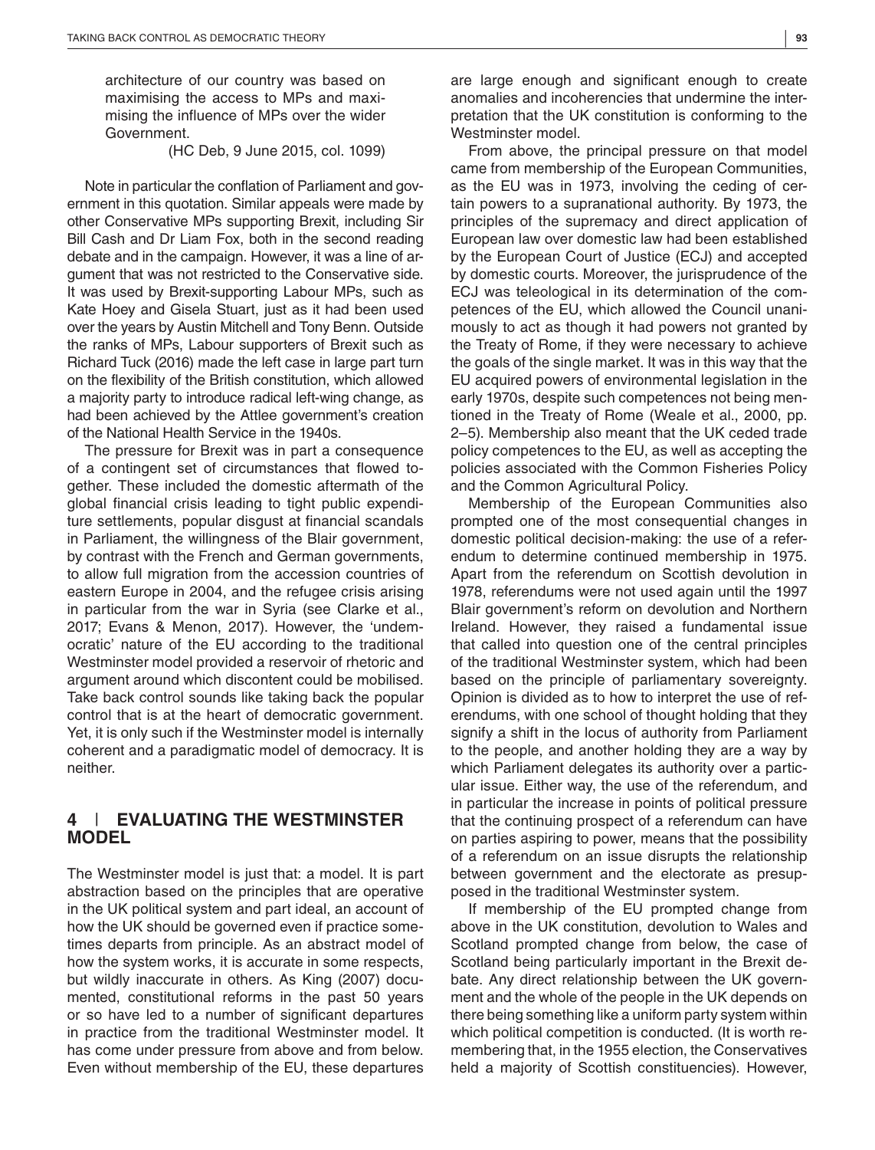architecture of our country was based on maximising the access to MPs and maximising the influence of MPs over the wider Government.

(HC Deb, 9 June 2015, col. 1099)

Note in particular the conflation of Parliament and government in this quotation. Similar appeals were made by other Conservative MPs supporting Brexit, including Sir Bill Cash and Dr Liam Fox, both in the second reading debate and in the campaign. However, it was a line of argument that was not restricted to the Conservative side. It was used by Brexit-supporting Labour MPs, such as Kate Hoey and Gisela Stuart, just as it had been used over the years by Austin Mitchell and Tony Benn. Outside the ranks of MPs, Labour supporters of Brexit such as Richard Tuck (2016) made the left case in large part turn on the flexibility of the British constitution, which allowed a majority party to introduce radical left-wing change, as had been achieved by the Attlee government's creation of the National Health Service in the 1940s.

The pressure for Brexit was in part a consequence of a contingent set of circumstances that flowed together. These included the domestic aftermath of the global financial crisis leading to tight public expenditure settlements, popular disgust at financial scandals in Parliament, the willingness of the Blair government, by contrast with the French and German governments, to allow full migration from the accession countries of eastern Europe in 2004, and the refugee crisis arising in particular from the war in Syria (see Clarke et al., 2017; Evans & Menon, 2017). However, the 'undemocratic' nature of the EU according to the traditional Westminster model provided a reservoir of rhetoric and argument around which discontent could be mobilised. Take back control sounds like taking back the popular control that is at the heart of democratic government. Yet, it is only such if the Westminster model is internally coherent and a paradigmatic model of democracy. It is neither.

## **4** | **EVALUATING THE WESTMINSTER MODEL**

The Westminster model is just that: a model. It is part abstraction based on the principles that are operative in the UK political system and part ideal, an account of how the UK should be governed even if practice sometimes departs from principle. As an abstract model of how the system works, it is accurate in some respects, but wildly inaccurate in others. As King (2007) documented, constitutional reforms in the past 50 years or so have led to a number of significant departures in practice from the traditional Westminster model. It has come under pressure from above and from below. Even without membership of the EU, these departures

are large enough and significant enough to create anomalies and incoherencies that undermine the interpretation that the UK constitution is conforming to the Westminster model.

From above, the principal pressure on that model came from membership of the European Communities, as the EU was in 1973, involving the ceding of certain powers to a supranational authority. By 1973, the principles of the supremacy and direct application of European law over domestic law had been established by the European Court of Justice (ECJ) and accepted by domestic courts. Moreover, the jurisprudence of the ECJ was teleological in its determination of the competences of the EU, which allowed the Council unanimously to act as though it had powers not granted by the Treaty of Rome, if they were necessary to achieve the goals of the single market. It was in this way that the EU acquired powers of environmental legislation in the early 1970s, despite such competences not being mentioned in the Treaty of Rome (Weale et al., 2000, pp. 2–5). Membership also meant that the UK ceded trade policy competences to the EU, as well as accepting the policies associated with the Common Fisheries Policy and the Common Agricultural Policy.

Membership of the European Communities also prompted one of the most consequential changes in domestic political decision-making: the use of a referendum to determine continued membership in 1975. Apart from the referendum on Scottish devolution in 1978, referendums were not used again until the 1997 Blair government's reform on devolution and Northern Ireland. However, they raised a fundamental issue that called into question one of the central principles of the traditional Westminster system, which had been based on the principle of parliamentary sovereignty. Opinion is divided as to how to interpret the use of referendums, with one school of thought holding that they signify a shift in the locus of authority from Parliament to the people, and another holding they are a way by which Parliament delegates its authority over a particular issue. Either way, the use of the referendum, and in particular the increase in points of political pressure that the continuing prospect of a referendum can have on parties aspiring to power, means that the possibility of a referendum on an issue disrupts the relationship between government and the electorate as presupposed in the traditional Westminster system.

If membership of the EU prompted change from above in the UK constitution, devolution to Wales and Scotland prompted change from below, the case of Scotland being particularly important in the Brexit debate. Any direct relationship between the UK government and the whole of the people in the UK depends on there being something like a uniform party system within which political competition is conducted. (It is worth remembering that, in the 1955 election, the Conservatives held a majority of Scottish constituencies). However,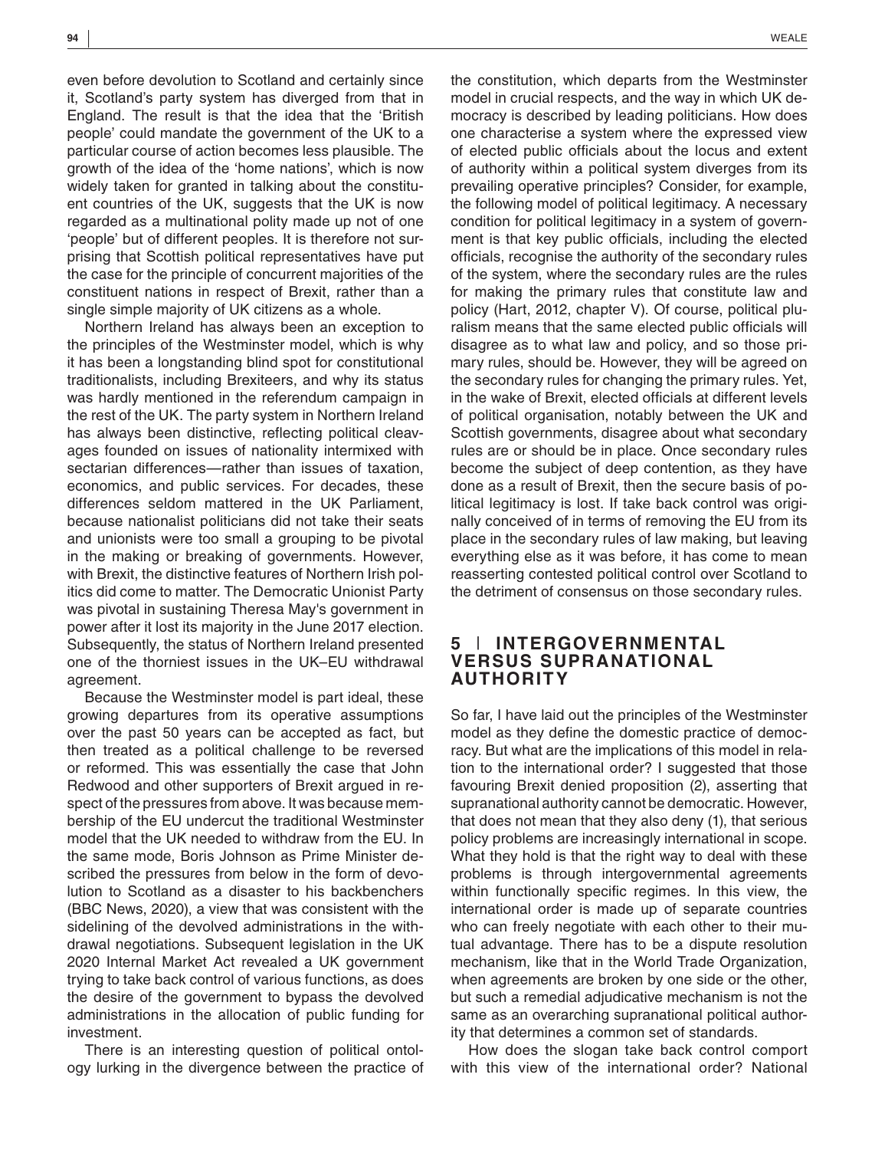even before devolution to Scotland and certainly since it, Scotland's party system has diverged from that in England. The result is that the idea that the 'British people' could mandate the government of the UK to a particular course of action becomes less plausible. The growth of the idea of the 'home nations', which is now widely taken for granted in talking about the constituent countries of the UK, suggests that the UK is now regarded as a multinational polity made up not of one 'people' but of different peoples. It is therefore not surprising that Scottish political representatives have put the case for the principle of concurrent majorities of the constituent nations in respect of Brexit, rather than a single simple majority of UK citizens as a whole.

Northern Ireland has always been an exception to the principles of the Westminster model, which is why it has been a longstanding blind spot for constitutional traditionalists, including Brexiteers, and why its status was hardly mentioned in the referendum campaign in the rest of the UK. The party system in Northern Ireland has always been distinctive, reflecting political cleavages founded on issues of nationality intermixed with sectarian differences—rather than issues of taxation, economics, and public services. For decades, these differences seldom mattered in the UK Parliament, because nationalist politicians did not take their seats and unionists were too small a grouping to be pivotal in the making or breaking of governments. However, with Brexit, the distinctive features of Northern Irish politics did come to matter. The Democratic Unionist Party was pivotal in sustaining Theresa May's government in power after it lost its majority in the June 2017 election. Subsequently, the status of Northern Ireland presented one of the thorniest issues in the UK–EU withdrawal agreement.

Because the Westminster model is part ideal, these growing departures from its operative assumptions over the past 50 years can be accepted as fact, but then treated as a political challenge to be reversed or reformed. This was essentially the case that John Redwood and other supporters of Brexit argued in respect of the pressures from above. It was because membership of the EU undercut the traditional Westminster model that the UK needed to withdraw from the EU. In the same mode, Boris Johnson as Prime Minister described the pressures from below in the form of devolution to Scotland as a disaster to his backbenchers (BBC News, 2020), a view that was consistent with the sidelining of the devolved administrations in the withdrawal negotiations. Subsequent legislation in the UK 2020 Internal Market Act revealed a UK government trying to take back control of various functions, as does the desire of the government to bypass the devolved administrations in the allocation of public funding for investment.

There is an interesting question of political ontology lurking in the divergence between the practice of the constitution, which departs from the Westminster model in crucial respects, and the way in which UK democracy is described by leading politicians. How does one characterise a system where the expressed view of elected public officials about the locus and extent of authority within a political system diverges from its prevailing operative principles? Consider, for example, the following model of political legitimacy. A necessary condition for political legitimacy in a system of govern-

ment is that key public officials, including the elected officials, recognise the authority of the secondary rules of the system, where the secondary rules are the rules for making the primary rules that constitute law and policy (Hart, 2012, chapter V). Of course, political pluralism means that the same elected public officials will disagree as to what law and policy, and so those primary rules, should be. However, they will be agreed on the secondary rules for changing the primary rules. Yet, in the wake of Brexit, elected officials at different levels of political organisation, notably between the UK and Scottish governments, disagree about what secondary rules are or should be in place. Once secondary rules become the subject of deep contention, as they have done as a result of Brexit, then the secure basis of political legitimacy is lost. If take back control was originally conceived of in terms of removing the EU from its place in the secondary rules of law making, but leaving everything else as it was before, it has come to mean reasserting contested political control over Scotland to the detriment of consensus on those secondary rules.

## **5** | **INTERGOVERNMENTAL VERSUS SUPRANATIONAL AUTHORITY**

So far, I have laid out the principles of the Westminster model as they define the domestic practice of democracy. But what are the implications of this model in relation to the international order? I suggested that those favouring Brexit denied proposition (2), asserting that supranational authority cannot be democratic. However, that does not mean that they also deny (1), that serious policy problems are increasingly international in scope. What they hold is that the right way to deal with these problems is through intergovernmental agreements within functionally specific regimes. In this view, the international order is made up of separate countries who can freely negotiate with each other to their mutual advantage. There has to be a dispute resolution mechanism, like that in the World Trade Organization, when agreements are broken by one side or the other, but such a remedial adjudicative mechanism is not the same as an overarching supranational political authority that determines a common set of standards.

How does the slogan take back control comport with this view of the international order? National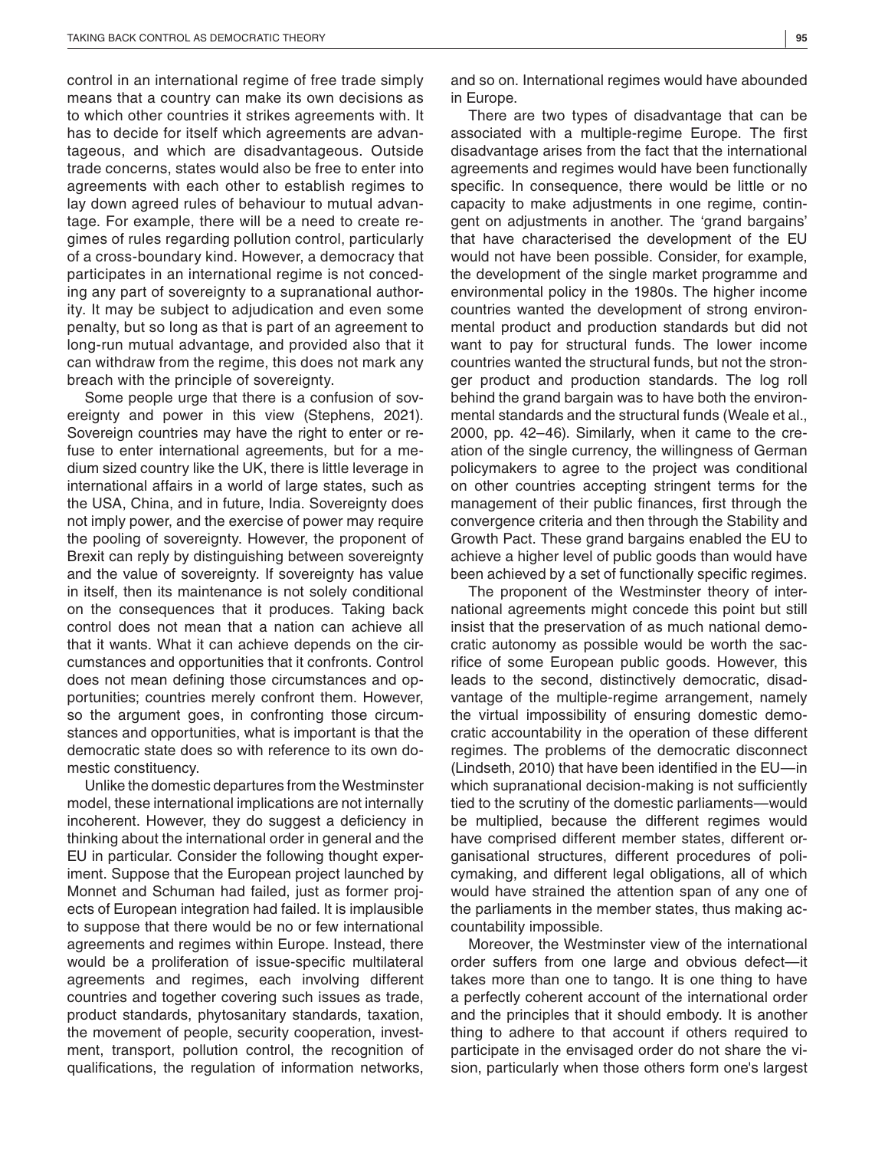control in an international regime of free trade simply means that a country can make its own decisions as to which other countries it strikes agreements with. It has to decide for itself which agreements are advantageous, and which are disadvantageous. Outside trade concerns, states would also be free to enter into agreements with each other to establish regimes to lay down agreed rules of behaviour to mutual advantage. For example, there will be a need to create regimes of rules regarding pollution control, particularly of a cross-boundary kind. However, a democracy that participates in an international regime is not conceding any part of sovereignty to a supranational authority. It may be subject to adjudication and even some penalty, but so long as that is part of an agreement to long-run mutual advantage, and provided also that it can withdraw from the regime, this does not mark any breach with the principle of sovereignty.

Some people urge that there is a confusion of sovereignty and power in this view (Stephens, 2021). Sovereign countries may have the right to enter or refuse to enter international agreements, but for a medium sized country like the UK, there is little leverage in international affairs in a world of large states, such as the USA, China, and in future, India. Sovereignty does not imply power, and the exercise of power may require the pooling of sovereignty. However, the proponent of Brexit can reply by distinguishing between sovereignty and the value of sovereignty. If sovereignty has value in itself, then its maintenance is not solely conditional on the consequences that it produces. Taking back control does not mean that a nation can achieve all that it wants. What it can achieve depends on the circumstances and opportunities that it confronts. Control does not mean defining those circumstances and opportunities; countries merely confront them. However, so the argument goes, in confronting those circumstances and opportunities, what is important is that the democratic state does so with reference to its own domestic constituency.

Unlike the domestic departures from the Westminster model, these international implications are not internally incoherent. However, they do suggest a deficiency in thinking about the international order in general and the EU in particular. Consider the following thought experiment. Suppose that the European project launched by Monnet and Schuman had failed, just as former projects of European integration had failed. It is implausible to suppose that there would be no or few international agreements and regimes within Europe. Instead, there would be a proliferation of issue-specific multilateral agreements and regimes, each involving different countries and together covering such issues as trade, product standards, phytosanitary standards, taxation, the movement of people, security cooperation, investment, transport, pollution control, the recognition of qualifications, the regulation of information networks,

and so on. International regimes would have abounded in Europe.

There are two types of disadvantage that can be associated with a multiple-regime Europe. The first disadvantage arises from the fact that the international agreements and regimes would have been functionally specific. In consequence, there would be little or no capacity to make adjustments in one regime, contingent on adjustments in another. The 'grand bargains' that have characterised the development of the EU would not have been possible. Consider, for example, the development of the single market programme and environmental policy in the 1980s. The higher income countries wanted the development of strong environmental product and production standards but did not want to pay for structural funds. The lower income countries wanted the structural funds, but not the stronger product and production standards. The log roll behind the grand bargain was to have both the environmental standards and the structural funds (Weale et al., 2000, pp. 42–46). Similarly, when it came to the creation of the single currency, the willingness of German policymakers to agree to the project was conditional on other countries accepting stringent terms for the management of their public finances, first through the convergence criteria and then through the Stability and Growth Pact. These grand bargains enabled the EU to achieve a higher level of public goods than would have been achieved by a set of functionally specific regimes.

The proponent of the Westminster theory of international agreements might concede this point but still insist that the preservation of as much national democratic autonomy as possible would be worth the sacrifice of some European public goods. However, this leads to the second, distinctively democratic, disadvantage of the multiple-regime arrangement, namely the virtual impossibility of ensuring domestic democratic accountability in the operation of these different regimes. The problems of the democratic disconnect (Lindseth, 2010) that have been identified in the EU—in which supranational decision-making is not sufficiently tied to the scrutiny of the domestic parliaments—would be multiplied, because the different regimes would have comprised different member states, different organisational structures, different procedures of policymaking, and different legal obligations, all of which would have strained the attention span of any one of the parliaments in the member states, thus making accountability impossible.

Moreover, the Westminster view of the international order suffers from one large and obvious defect—it takes more than one to tango. It is one thing to have a perfectly coherent account of the international order and the principles that it should embody. It is another thing to adhere to that account if others required to participate in the envisaged order do not share the vision, particularly when those others form one's largest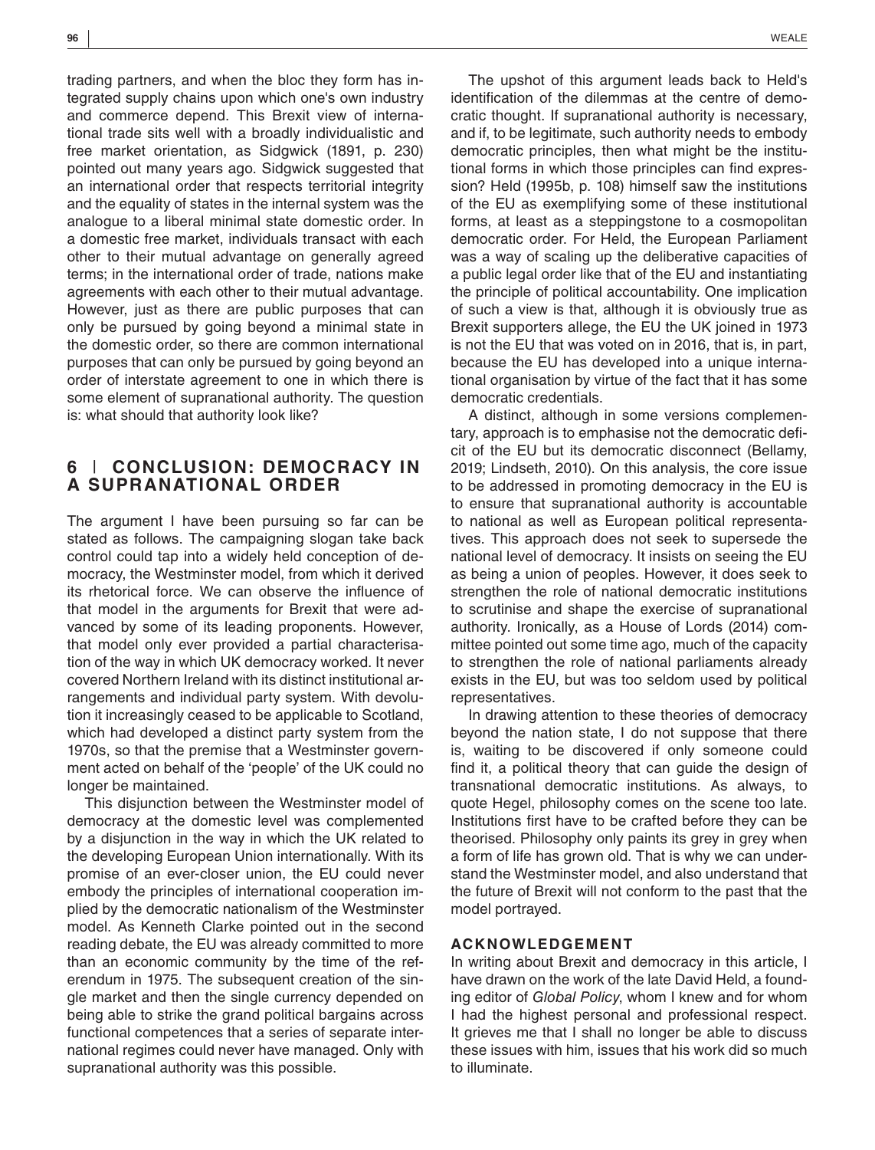trading partners, and when the bloc they form has integrated supply chains upon which one's own industry and commerce depend. This Brexit view of international trade sits well with a broadly individualistic and free market orientation, as Sidgwick (1891, p. 230) pointed out many years ago. Sidgwick suggested that an international order that respects territorial integrity and the equality of states in the internal system was the analogue to a liberal minimal state domestic order. In a domestic free market, individuals transact with each other to their mutual advantage on generally agreed terms; in the international order of trade, nations make agreements with each other to their mutual advantage. However, just as there are public purposes that can only be pursued by going beyond a minimal state in the domestic order, so there are common international purposes that can only be pursued by going beyond an order of interstate agreement to one in which there is some element of supranational authority. The question is: what should that authority look like?

## **6** | **CONCLUSION: DEMOCRACY IN A SUPRANATIONAL ORDER**

The argument I have been pursuing so far can be stated as follows. The campaigning slogan take back control could tap into a widely held conception of democracy, the Westminster model, from which it derived its rhetorical force. We can observe the influence of that model in the arguments for Brexit that were advanced by some of its leading proponents. However, that model only ever provided a partial characterisation of the way in which UK democracy worked. It never covered Northern Ireland with its distinct institutional arrangements and individual party system. With devolution it increasingly ceased to be applicable to Scotland, which had developed a distinct party system from the 1970s, so that the premise that a Westminster government acted on behalf of the 'people' of the UK could no longer be maintained.

This disjunction between the Westminster model of democracy at the domestic level was complemented by a disjunction in the way in which the UK related to the developing European Union internationally. With its promise of an ever-closer union, the EU could never embody the principles of international cooperation implied by the democratic nationalism of the Westminster model. As Kenneth Clarke pointed out in the second reading debate, the EU was already committed to more than an economic community by the time of the referendum in 1975. The subsequent creation of the single market and then the single currency depended on being able to strike the grand political bargains across functional competences that a series of separate international regimes could never have managed. Only with supranational authority was this possible.

The upshot of this argument leads back to Held's identification of the dilemmas at the centre of democratic thought. If supranational authority is necessary, and if, to be legitimate, such authority needs to embody democratic principles, then what might be the institutional forms in which those principles can find expression? Held (1995b, p. 108) himself saw the institutions of the EU as exemplifying some of these institutional forms, at least as a steppingstone to a cosmopolitan democratic order. For Held, the European Parliament was a way of scaling up the deliberative capacities of a public legal order like that of the EU and instantiating the principle of political accountability. One implication of such a view is that, although it is obviously true as Brexit supporters allege, the EU the UK joined in 1973 is not the EU that was voted on in 2016, that is, in part, because the EU has developed into a unique international organisation by virtue of the fact that it has some democratic credentials.

A distinct, although in some versions complementary, approach is to emphasise not the democratic deficit of the EU but its democratic disconnect (Bellamy, 2019; Lindseth, 2010). On this analysis, the core issue to be addressed in promoting democracy in the EU is to ensure that supranational authority is accountable to national as well as European political representatives. This approach does not seek to supersede the national level of democracy. It insists on seeing the EU as being a union of peoples. However, it does seek to strengthen the role of national democratic institutions to scrutinise and shape the exercise of supranational authority. Ironically, as a House of Lords (2014) committee pointed out some time ago, much of the capacity to strengthen the role of national parliaments already exists in the EU, but was too seldom used by political representatives.

In drawing attention to these theories of democracy beyond the nation state, I do not suppose that there is, waiting to be discovered if only someone could find it, a political theory that can guide the design of transnational democratic institutions. As always, to quote Hegel, philosophy comes on the scene too late. Institutions first have to be crafted before they can be theorised. Philosophy only paints its grey in grey when a form of life has grown old. That is why we can understand the Westminster model, and also understand that the future of Brexit will not conform to the past that the model portrayed.

### **ACKNOWLEDGEMENT**

In writing about Brexit and democracy in this article, I have drawn on the work of the late David Held, a founding editor of *Global Policy*, whom I knew and for whom I had the highest personal and professional respect. It grieves me that I shall no longer be able to discuss these issues with him, issues that his work did so much to illuminate.